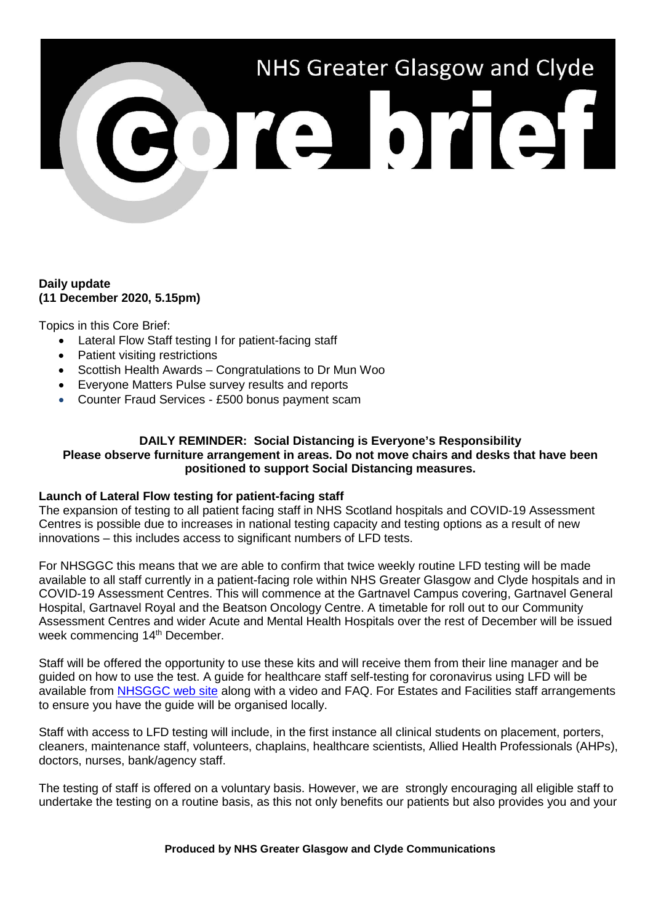# NHS Greater Glasgow and Clyde **BOTE DTET**

# **Daily update (11 December 2020, 5.15pm)**

Topics in this Core Brief:

- Lateral Flow Staff testing I for patient-facing staff
- Patient visiting restrictions
- Scottish Health Awards Congratulations to Dr Mun Woo
- Everyone Matters Pulse survey results and reports
- Counter Fraud Services £500 bonus payment scam

#### **DAILY REMINDER: Social Distancing is Everyone's Responsibility Please observe furniture arrangement in areas. Do not move chairs and desks that have been positioned to support Social Distancing measures.**

# **Launch of Lateral Flow testing for patient-facing staff**

The expansion of testing to all patient facing staff in NHS Scotland hospitals and COVID-19 Assessment Centres is possible due to increases in national testing capacity and testing options as a result of new innovations – this includes access to significant numbers of LFD tests.

For NHSGGC this means that we are able to confirm that twice weekly routine LFD testing will be made available to all staff currently in a patient-facing role within NHS Greater Glasgow and Clyde hospitals and in COVID-19 Assessment Centres. This will commence at the Gartnavel Campus covering, Gartnavel General Hospital, Gartnavel Royal and the Beatson Oncology Centre. A timetable for roll out to our Community Assessment Centres and wider Acute and Mental Health Hospitals over the rest of December will be issued week commencing 14<sup>th</sup> December.

Staff will be offered the opportunity to use these kits and will receive them from their line manager and be guided on how to use the test. A guide for healthcare staff self-testing for coronavirus using LFD will be available from [NHSGGC web site](https://www.nhsggc.org.uk/your-health/health-issues/covid-19-coronavirus/for-nhsggc-staff/lateral-flow-device-testing-guidance/) along with a video and FAQ. For Estates and Facilities staff arrangements to ensure you have the guide will be organised locally.

Staff with access to LFD testing will include, in the first instance all clinical students on placement, porters, cleaners, maintenance staff, volunteers, chaplains, healthcare scientists, Allied Health Professionals (AHPs), doctors, nurses, bank/agency staff.

The testing of staff is offered on a voluntary basis. However, we are strongly encouraging all eligible staff to undertake the testing on a routine basis, as this not only benefits our patients but also provides you and your

**Produced by NHS Greater Glasgow and Clyde Communications**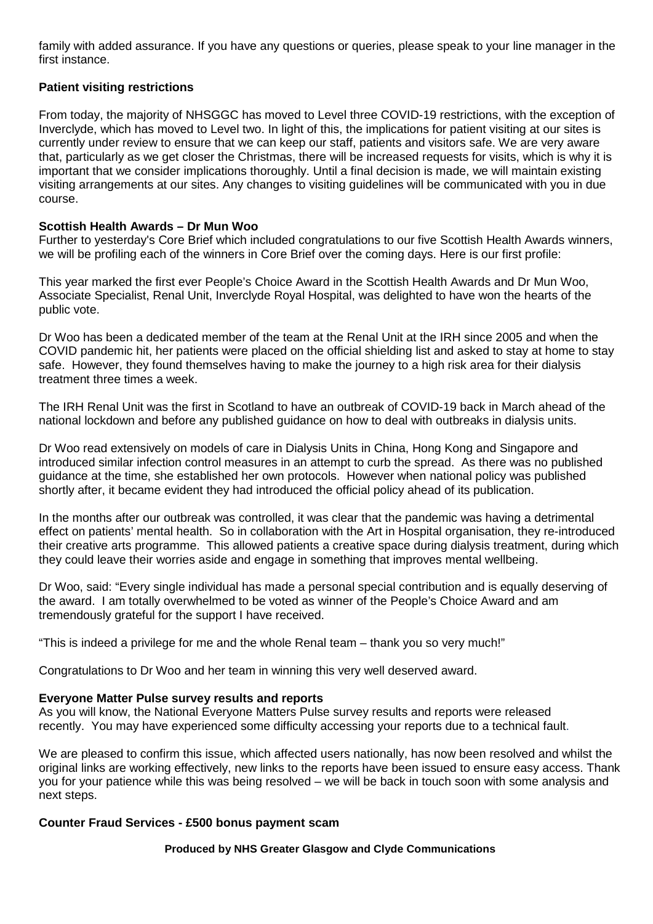family with added assurance. If you have any questions or queries, please speak to your line manager in the first instance.

# **Patient visiting restrictions**

From today, the majority of NHSGGC has moved to Level three COVID-19 restrictions, with the exception of Inverclyde, which has moved to Level two. In light of this, the implications for patient visiting at our sites is currently under review to ensure that we can keep our staff, patients and visitors safe. We are very aware that, particularly as we get closer the Christmas, there will be increased requests for visits, which is why it is important that we consider implications thoroughly. Until a final decision is made, we will maintain existing visiting arrangements at our sites. Any changes to visiting guidelines will be communicated with you in due course.

# **Scottish Health Awards – Dr Mun Woo**

Further to yesterday's Core Brief which included congratulations to our five Scottish Health Awards winners, we will be profiling each of the winners in Core Brief over the coming days. Here is our first profile:

This year marked the first ever People's Choice Award in the Scottish Health Awards and Dr Mun Woo, Associate Specialist, Renal Unit, Inverclyde Royal Hospital, was delighted to have won the hearts of the public vote.

Dr Woo has been a dedicated member of the team at the Renal Unit at the IRH since 2005 and when the COVID pandemic hit, her patients were placed on the official shielding list and asked to stay at home to stay safe. However, they found themselves having to make the journey to a high risk area for their dialysis treatment three times a week.

The IRH Renal Unit was the first in Scotland to have an outbreak of COVID-19 back in March ahead of the national lockdown and before any published guidance on how to deal with outbreaks in dialysis units.

Dr Woo read extensively on models of care in Dialysis Units in China, Hong Kong and Singapore and introduced similar infection control measures in an attempt to curb the spread. As there was no published guidance at the time, she established her own protocols. However when national policy was published shortly after, it became evident they had introduced the official policy ahead of its publication.

In the months after our outbreak was controlled, it was clear that the pandemic was having a detrimental effect on patients' mental health. So in collaboration with the Art in Hospital organisation, they re-introduced their creative arts programme. This allowed patients a creative space during dialysis treatment, during which they could leave their worries aside and engage in something that improves mental wellbeing.

Dr Woo, said: "Every single individual has made a personal special contribution and is equally deserving of the award. I am totally overwhelmed to be voted as winner of the People's Choice Award and am tremendously grateful for the support I have received.

"This is indeed a privilege for me and the whole Renal team – thank you so very much!"

Congratulations to Dr Woo and her team in winning this very well deserved award.

# **Everyone Matter Pulse survey results and reports**

As you will know, the National Everyone Matters Pulse survey results and reports were released recently. You may have experienced some difficulty accessing your reports due to a technical fault.

We are pleased to confirm this issue, which affected users nationally, has now been resolved and whilst the original links are working effectively, new links to the reports have been issued to ensure easy access. Thank you for your patience while this was being resolved – we will be back in touch soon with some analysis and next steps.

# **Counter Fraud Services - £500 bonus payment scam**

**Produced by NHS Greater Glasgow and Clyde Communications**